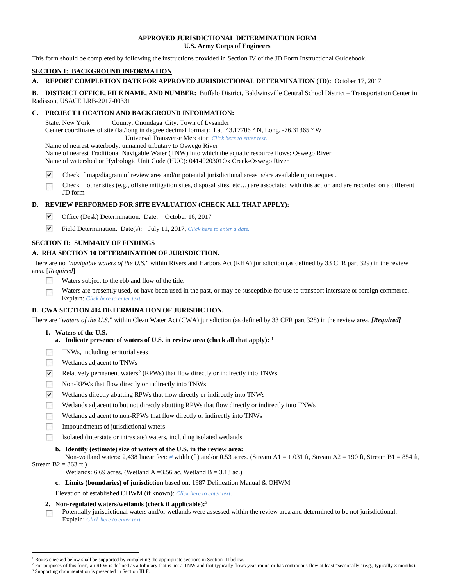## **APPROVED JURISDICTIONAL DETERMINATION FORM U.S. Army Corps of Engineers**

This form should be completed by following the instructions provided in Section IV of the JD Form Instructional Guidebook.

# **SECTION I: BACKGROUND INFORMATION**

# **A. REPORT COMPLETION DATE FOR APPROVED JURISDICTIONAL DETERMINATION (JD):** October 17, 2017

**B. DISTRICT OFFICE, FILE NAME, AND NUMBER:** Buffalo District, Baldwinsville Central School District – Transportation Center in Radisson, USACE LRB-2017-00331

# **C. PROJECT LOCATION AND BACKGROUND INFORMATION:**

State: New York County: Onondaga City: Town of Lysander

Center coordinates of site (lat/long in degree decimal format): Lat. 43.17706 ° N, Long. -76.31365 ° W

Universal Transverse Mercator: *Click here to enter text.*

Name of nearest waterbody: unnamed tributary to Oswego River Name of nearest Traditional Navigable Water (TNW) into which the aquatic resource flows: Oswego River

Name of watershed or Hydrologic Unit Code (HUC): 0414020301Ox Creek-Oswego River

- ⊽ Check if map/diagram of review area and/or potential jurisdictional areas is/are available upon request.
- $\overline{\phantom{a}}$ Check if other sites (e.g., offsite mitigation sites, disposal sites, etc…) are associated with this action and are recorded on a different JD form

# **D. REVIEW PERFORMED FOR SITE EVALUATION (CHECK ALL THAT APPLY):**

- ⊽ Office (Desk) Determination. Date: October 16, 2017
- $\overline{\mathbf{v}}$ Field Determination. Date(s): July 11, 2017, *Click here to enter a date.*

# **SECTION II: SUMMARY OF FINDINGS**

# **A. RHA SECTION 10 DETERMINATION OF JURISDICTION.**

There are no "*navigable waters of the U.S.*" within Rivers and Harbors Act (RHA) jurisdiction (as defined by 33 CFR part 329) in the review area. [*Required*]

- 57 Waters subject to the ebb and flow of the tide.
- Waters are presently used, or have been used in the past, or may be susceptible for use to transport interstate or foreign commerce.  $\overline{\phantom{a}}$ Explain: *Click here to enter text.*

# **B. CWA SECTION 404 DETERMINATION OF JURISDICTION.**

There are "*waters of the U.S.*" within Clean Water Act (CWA) jurisdiction (as defined by 33 CFR part 328) in the review area. *[Required]*

- **1. Waters of the U.S.**
	- **a. Indicate presence of waters of U.S. in review area (check all that apply): [1](#page-0-0)**
- **R** TNWs, including territorial seas
- $\sim$ Wetlands adjacent to TNWs
- $\overline{\mathbf{v}}$ Relatively permanent waters<sup>[2](#page-0-1)</sup> (RPWs) that flow directly or indirectly into TNWs
- **Table** Non-RPWs that flow directly or indirectly into TNWs
- $\overline{\mathbf{v}}$ Wetlands directly abutting RPWs that flow directly or indirectly into TNWs
- $\sim$ Wetlands adjacent to but not directly abutting RPWs that flow directly or indirectly into TNWs
- $\sim$ Wetlands adjacent to non-RPWs that flow directly or indirectly into TNWs
- **FRI** Impoundments of jurisdictional waters
	- Isolated (interstate or intrastate) waters, including isolated wetlands
	- **b. Identify (estimate) size of waters of the U.S. in the review area:**

Non-wetland waters: 2,438 linear feet: *#* width (ft) and/or 0.53 acres. (Stream A1 = 1,031 ft, Stream A2 = 190 ft, Stream B1 = 854 ft, Stream  $B2 = 363$  ft.)

- Wetlands: 6.69 acres. (Wetland A = 3.56 ac, Wetland B = 3.13 ac.)
- **c. Limits (boundaries) of jurisdiction** based on: 1987 Delineation Manual & OHWM

Elevation of established OHWM (if known): *Click here to enter text.*

# **2. Non-regulated waters/wetlands (check if applicable):[3](#page-0-2)**

Potentially jurisdictional waters and/or wetlands were assessed within the review area and determined to be not jurisdictional.  $\overline{a}$ Explain: *Click here to enter text.*

<sup>&</sup>lt;sup>1</sup> Boxes checked below shall be supported by completing the appropriate sections in Section III below.

<span id="page-0-2"></span><span id="page-0-1"></span><span id="page-0-0"></span>For purposes of this form, an RPW is defined as a tributary that is not a TNW and that typically flows year-round or has continuous flow at least "seasonally" (e.g., typically 3 months). <sup>3</sup> Supporting documentation is presented in Section III.F.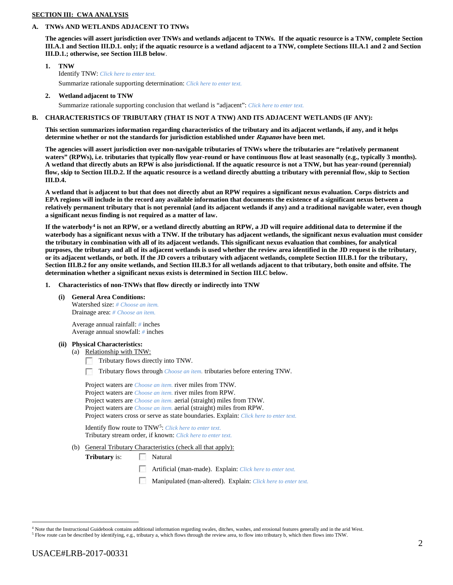## **SECTION III: CWA ANALYSIS**

### **A. TNWs AND WETLANDS ADJACENT TO TNWs**

**The agencies will assert jurisdiction over TNWs and wetlands adjacent to TNWs. If the aquatic resource is a TNW, complete Section III.A.1 and Section III.D.1. only; if the aquatic resource is a wetland adjacent to a TNW, complete Sections III.A.1 and 2 and Section III.D.1.; otherwise, see Section III.B below**.

- **1. TNW**  Identify TNW: *Click here to enter text.* Summarize rationale supporting determination: *Click here to enter text.*
- **2. Wetland adjacent to TNW**

Summarize rationale supporting conclusion that wetland is "adjacent": *Click here to enter text.*

## **B. CHARACTERISTICS OF TRIBUTARY (THAT IS NOT A TNW) AND ITS ADJACENT WETLANDS (IF ANY):**

**This section summarizes information regarding characteristics of the tributary and its adjacent wetlands, if any, and it helps determine whether or not the standards for jurisdiction established under Rapanos have been met.** 

**The agencies will assert jurisdiction over non-navigable tributaries of TNWs where the tributaries are "relatively permanent waters" (RPWs), i.e. tributaries that typically flow year-round or have continuous flow at least seasonally (e.g., typically 3 months). A wetland that directly abuts an RPW is also jurisdictional. If the aquatic resource is not a TNW, but has year-round (perennial) flow, skip to Section III.D.2. If the aquatic resource is a wetland directly abutting a tributary with perennial flow, skip to Section III.D.4.**

**A wetland that is adjacent to but that does not directly abut an RPW requires a significant nexus evaluation. Corps districts and EPA regions will include in the record any available information that documents the existence of a significant nexus between a relatively permanent tributary that is not perennial (and its adjacent wetlands if any) and a traditional navigable water, even though a significant nexus finding is not required as a matter of law.**

**If the waterbody[4](#page-1-0) is not an RPW, or a wetland directly abutting an RPW, a JD will require additional data to determine if the waterbody has a significant nexus with a TNW. If the tributary has adjacent wetlands, the significant nexus evaluation must consider the tributary in combination with all of its adjacent wetlands. This significant nexus evaluation that combines, for analytical purposes, the tributary and all of its adjacent wetlands is used whether the review area identified in the JD request is the tributary, or its adjacent wetlands, or both. If the JD covers a tributary with adjacent wetlands, complete Section III.B.1 for the tributary, Section III.B.2 for any onsite wetlands, and Section III.B.3 for all wetlands adjacent to that tributary, both onsite and offsite. The determination whether a significant nexus exists is determined in Section III.C below.**

- **1. Characteristics of non-TNWs that flow directly or indirectly into TNW**
	- **(i) General Area Conditions:**

Watershed size: *# Choose an item.* Drainage area: *# Choose an item.*

Average annual rainfall: *#* inches Average annual snowfall: *#* inches

- **(ii) Physical Characteristics:**
	- (a) Relationship with TNW:
		- Tributary flows directly into TNW.
		- Tributary flows through *Choose an item.* tributaries before entering TNW.  $\overline{a}$

Project waters are *Choose an item.* river miles from TNW. Project waters are *Choose an item.* river miles from RPW. Project waters are *Choose an item.* aerial (straight) miles from TNW. Project waters are *Choose an item.* aerial (straight) miles from RPW. Project waters cross or serve as state boundaries. Explain: *Click here to enter text.*

Identify flow route to TNW[5:](#page-1-1) *Click here to enter text.* Tributary stream order, if known: *Click here to enter text.*

(b) General Tributary Characteristics (check all that apply):

**Tributary** is: Natural

- Artificial (man-made). Explain: *Click here to enter text.*
- Manipulated (man-altered). Explain: *Click here to enter text.*

 <sup>4</sup> Note that the Instructional Guidebook contains additional information regarding swales, ditches, washes, and erosional features generally and in the arid West.

<span id="page-1-1"></span><span id="page-1-0"></span><sup>5</sup> Flow route can be described by identifying, e.g., tributary a, which flows through the review area, to flow into tributary b, which then flows into TNW.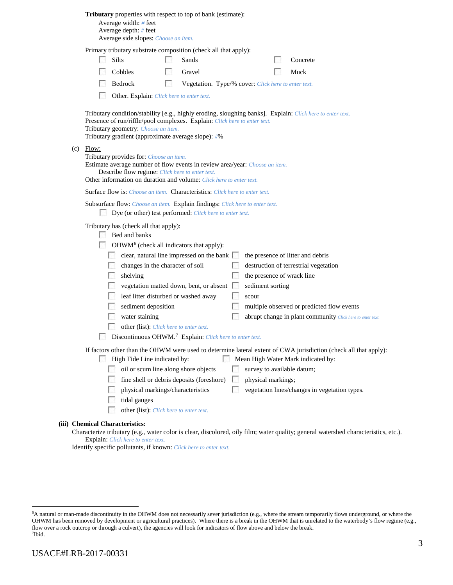|  |  |  |  | Tributary properties with respect to top of bank (estimate): |
|--|--|--|--|--------------------------------------------------------------|
|--|--|--|--|--------------------------------------------------------------|

Average width: *#* feet Average depth: *#* feet Average side slopes: *Choose an item.*

Primary tributary substrate composition (check all that apply):

| $\Box$ Silts   | $\Box$ Sands                                        | $\Box$ Concrete |
|----------------|-----------------------------------------------------|-----------------|
| $\Box$ Cobbles | <b>Cravel</b>                                       | $\Box$ Muck     |
| $\Box$ Bedrock | Vegetation. Type/% cover: Click here to enter text. |                 |

 $\overline{a}$ Other. Explain: *Click here to enter text.*

Tributary condition/stability [e.g., highly eroding, sloughing banks]. Explain: *Click here to enter text.* Presence of run/riffle/pool complexes. Explain: *Click here to enter text.* Tributary geometry: *Choose an item.* Tributary gradient (approximate average slope): *#*%

(c) Flow:

| <b>FIOW:</b>                                                                               |
|--------------------------------------------------------------------------------------------|
| Tributary provides for: <i>Choose an item.</i>                                             |
| Estimate average number of flow events in review area/year: <i>Choose an item.</i>         |
| Describe flow regime: Click here to enter text.                                            |
| Other information on duration and volume: Click here to enter text.                        |
| <b>Surface flow is:</b> Choose an item. Characteristics: Click here to enter text.         |
| <b>Subsurface flow:</b> Choose an item. <b>Explain findings:</b> Click here to enter text. |
| Dye (or other) test performed: <i>Click here to enter text</i> .                           |
|                                                                                            |
| Tributary has (check all that apply):                                                      |
| Bed and banks                                                                              |
| $OHWM6$ (check all indicators that apply):                                                 |
| clear, natural line impressed on the bank<br>the presence of litter and debris             |
| changes in the character of soil<br>destruction of terrestrial vegetation                  |
| shelving<br>the presence of wrack line                                                     |

| shelving                                | the presence of wrack line |
|-----------------------------------------|----------------------------|
| vegetation matted down, bent, or absent | sediment sorting           |

| leaf litter disturbed or washed away | scour                                      |
|--------------------------------------|--------------------------------------------|
| sediment deposition                  | multiple observed or predicted flow events |

| water staining | abrupt change in plant community Click here to enter text. |
|----------------|------------------------------------------------------------|
|                |                                                            |

- other (list): *Click here to enter text.*
- Discontinuous OHWM.<sup>7</sup> Explain: *Click here to enter text.*

If factors other than the OHWM were used to determine lateral extent of CWA jurisdiction (check all that apply):

High Tide Line indicated by: Mean High Water Mark indicated by: oil or scum line along shore objects survey to available datum; fine shell or debris deposits (foreshore) physical markings; physical markings/characteristics vegetation lines/changes in vegetation types. tidal gauges 20 other (list): *Click here to enter text.*

## **(iii) Chemical Characteristics:**

Characterize tributary (e.g., water color is clear, discolored, oily film; water quality; general watershed characteristics, etc.). Explain: *Click here to enter text.*

Identify specific pollutants, if known: *Click here to enter text.*

<span id="page-2-1"></span><span id="page-2-0"></span> <sup>6</sup> <sup>6</sup>A natural or man-made discontinuity in the OHWM does not necessarily sever jurisdiction (e.g., where the stream temporarily flows underground, or where the OHWM has been removed by development or agricultural practices). Where there is a break in the OHWM that is unrelated to the waterbody's flow regime (e.g., flow over a rock outcrop or through a culvert), the agencies will look for indicators of flow above and below the break. 7 Ibid.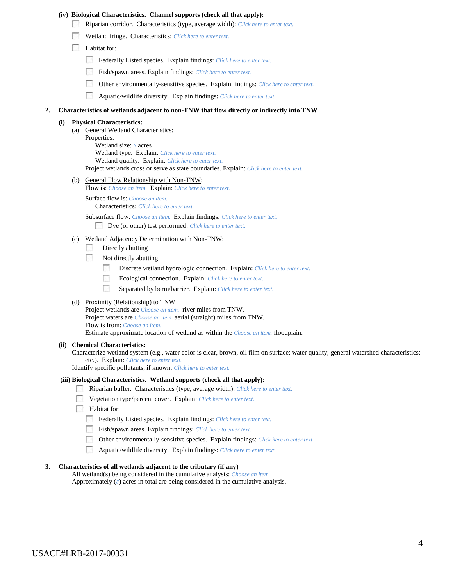#### **(iv) Biological Characteristics. Channel supports (check all that apply):**

- Riparian corridor. Characteristics (type, average width): *Click here to enter text.*
- Wetland fringe. Characteristics: *Click here to enter text.*
- **Habitat for:** 
	- Federally Listed species. Explain findings: *Click here to enter text.*
	- Fish/spawn areas. Explain findings: *Click here to enter text.*
	- $\sim$ Other environmentally-sensitive species. Explain findings: *Click here to enter text.*
	- $\overline{a}$ Aquatic/wildlife diversity. Explain findings: *Click here to enter text.*

#### **2. Characteristics of wetlands adjacent to non-TNW that flow directly or indirectly into TNW**

#### **(i) Physical Characteristics:**

(a) General Wetland Characteristics:

Properties: Wetland size: *#* acres Wetland type. Explain: *Click here to enter text.* Wetland quality. Explain: *Click here to enter text.* Project wetlands cross or serve as state boundaries. Explain: *Click here to enter text.*

(b) General Flow Relationship with Non-TNW:

Flow is: *Choose an item.* Explain: *Click here to enter text.*

Surface flow is: *Choose an item.* Characteristics: *Click here to enter text.*

Subsurface flow: *Choose an item.* Explain findings: *Click here to enter text.*

- Dye (or other) test performed: *Click here to enter text.*
- (c) Wetland Adjacency Determination with Non-TNW:
	- Directly abutting
	- 20 Not directly abutting
		- $\mathcal{L}_{\mathrm{eff}}$ Discrete wetland hydrologic connection. Explain: *Click here to enter text.*
		- $\overline{a}$ Ecological connection. Explain: *Click here to enter text.*
		- $\sim 10$ Separated by berm/barrier. Explain: *Click here to enter text.*

#### (d) Proximity (Relationship) to TNW

Project wetlands are *Choose an item.* river miles from TNW. Project waters are *Choose an item.* aerial (straight) miles from TNW. Flow is from: *Choose an item.* Estimate approximate location of wetland as within the *Choose an item.* floodplain.

#### **(ii) Chemical Characteristics:**

Characterize wetland system (e.g., water color is clear, brown, oil film on surface; water quality; general watershed characteristics; etc.). Explain: *Click here to enter text.*

Identify specific pollutants, if known: *Click here to enter text.*

### **(iii) Biological Characteristics. Wetland supports (check all that apply):**

- Riparian buffer. Characteristics (type, average width): *Click here to enter text.*
- Vegetation type/percent cover. Explain: *Click here to enter text.*
- Habitat for:
	- Federally Listed species. Explain findings: *Click here to enter text*.
	- Fish/spawn areas. Explain findings: *Click here to enter text.*
	- Other environmentally-sensitive species. Explain findings: *Click here to enter text.*
	- $\mathcal{N}_{\rm eff}$ Aquatic/wildlife diversity. Explain findings: *Click here to enter text.*

### **3. Characteristics of all wetlands adjacent to the tributary (if any)**

All wetland(s) being considered in the cumulative analysis: *Choose an item.* Approximately (*#*) acres in total are being considered in the cumulative analysis.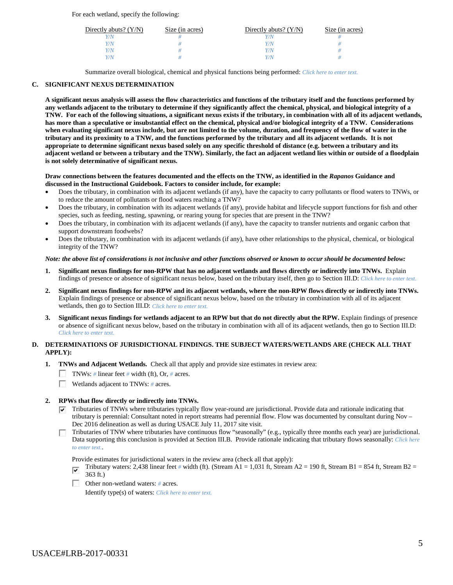For each wetland, specify the following:

| Directly abuts? $(Y/N)$ | Size (in acres) | Directly abuts? $(Y/N)$ | Size (in acres) |
|-------------------------|-----------------|-------------------------|-----------------|
|                         |                 |                         |                 |
| Y/N                     |                 | Y/N                     |                 |
| Y/N                     |                 | Y/N                     |                 |
| V/N                     |                 | Y/N                     |                 |

Summarize overall biological, chemical and physical functions being performed: *Click here to enter text.*

# **C. SIGNIFICANT NEXUS DETERMINATION**

**A significant nexus analysis will assess the flow characteristics and functions of the tributary itself and the functions performed by any wetlands adjacent to the tributary to determine if they significantly affect the chemical, physical, and biological integrity of a TNW. For each of the following situations, a significant nexus exists if the tributary, in combination with all of its adjacent wetlands, has more than a speculative or insubstantial effect on the chemical, physical and/or biological integrity of a TNW. Considerations when evaluating significant nexus include, but are not limited to the volume, duration, and frequency of the flow of water in the tributary and its proximity to a TNW, and the functions performed by the tributary and all its adjacent wetlands. It is not appropriate to determine significant nexus based solely on any specific threshold of distance (e.g. between a tributary and its adjacent wetland or between a tributary and the TNW). Similarly, the fact an adjacent wetland lies within or outside of a floodplain is not solely determinative of significant nexus.** 

### **Draw connections between the features documented and the effects on the TNW, as identified in the** *Rapanos* **Guidance and discussed in the Instructional Guidebook. Factors to consider include, for example:**

- Does the tributary, in combination with its adjacent wetlands (if any), have the capacity to carry pollutants or flood waters to TNWs, or to reduce the amount of pollutants or flood waters reaching a TNW?
- Does the tributary, in combination with its adjacent wetlands (if any), provide habitat and lifecycle support functions for fish and other species, such as feeding, nesting, spawning, or rearing young for species that are present in the TNW?
- Does the tributary, in combination with its adjacent wetlands (if any), have the capacity to transfer nutrients and organic carbon that support downstream foodwebs?
- Does the tributary, in combination with its adjacent wetlands (if any), have other relationships to the physical, chemical, or biological integrity of the TNW?

### *Note: the above list of considerations is not inclusive and other functions observed or known to occur should be documented below:*

- **1. Significant nexus findings for non-RPW that has no adjacent wetlands and flows directly or indirectly into TNWs.** Explain findings of presence or absence of significant nexus below, based on the tributary itself, then go to Section III.D: *Click here to enter text.*
- **2. Significant nexus findings for non-RPW and its adjacent wetlands, where the non-RPW flows directly or indirectly into TNWs.**  Explain findings of presence or absence of significant nexus below, based on the tributary in combination with all of its adjacent wetlands, then go to Section III.D: *Click here to enter text.*
- **3. Significant nexus findings for wetlands adjacent to an RPW but that do not directly abut the RPW.** Explain findings of presence or absence of significant nexus below, based on the tributary in combination with all of its adjacent wetlands, then go to Section III.D: *Click here to enter text.*

## **D. DETERMINATIONS OF JURISDICTIONAL FINDINGS. THE SUBJECT WATERS/WETLANDS ARE (CHECK ALL THAT APPLY):**

- **1. TNWs and Adjacent Wetlands.** Check all that apply and provide size estimates in review area:
	- TNWs: *#* linear feet *#* width (ft), Or, *#* acres.
	- **Wetlands adjacent to TNWs: # acres.**

# **2. RPWs that flow directly or indirectly into TNWs.**

 $\triangledown$  Tributaries of TNWs where tributaries typically flow year-round are jurisdictional. Provide data and rationale indicating that tributary is perennial: Consultant noted in report streams had perennial flow. Flow was documented by consultant during Nov – Dec 2016 delineation as well as during USACE July 11, 2017 site visit.

Tributaries of TNW where tributaries have continuous flow "seasonally" (e.g., typically three months each year) are jurisdictional. Data supporting this conclusion is provided at Section III.B. Provide rationale indicating that tributary flows seasonally: *Click here to enter text.*.

Provide estimates for jurisdictional waters in the review area (check all that apply):

- Tributary waters: 2,438 linear feet *#* width (ft). (Stream A1 = 1,031 ft, Stream A2 = 190 ft, Stream B1 = 854 ft, Stream B2 = 363 ft.)
- Other non-wetland waters: *#* acres. Identify type(s) of waters: *Click here to enter text.*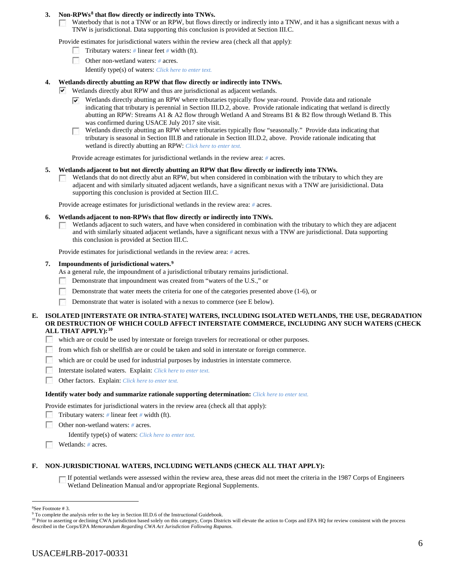# **3. Non-RPWs[8](#page-5-0) that flow directly or indirectly into TNWs.**

Waterbody that is not a TNW or an RPW, but flows directly or indirectly into a TNW, and it has a significant nexus with a  $\sim$ TNW is jurisdictional. Data supporting this conclusion is provided at Section III.C.

Provide estimates for jurisdictional waters within the review area (check all that apply):

- Tributary waters: *#* linear feet *#* width (ft).
- $\sim$ Other non-wetland waters: *#* acres. Identify type(s) of waters: *Click here to enter text.*

## **4. Wetlands directly abutting an RPW that flow directly or indirectly into TNWs.**

- Wetlands directly abut RPW and thus are jurisdictional as adjacent wetlands.
	- $\triangledown$  Wetlands directly abutting an RPW where tributaries typically flow year-round. Provide data and rationale indicating that tributary is perennial in Section III.D.2, above. Provide rationale indicating that wetland is directly abutting an RPW: Streams A1 & A2 flow through Wetland A and Streams B1 & B2 flow through Wetland B. This was confirmed during USACE July 2017 site visit.
	- Wetlands directly abutting an RPW where tributaries typically flow "seasonally." Provide data indicating that **1999** tributary is seasonal in Section III.B and rationale in Section III.D.2, above. Provide rationale indicating that wetland is directly abutting an RPW: *Click here to enter text.*

Provide acreage estimates for jurisdictional wetlands in the review area: *#* acres.

#### **5. Wetlands adjacent to but not directly abutting an RPW that flow directly or indirectly into TNWs.**

Wetlands that do not directly abut an RPW, but when considered in combination with the tributary to which they are adjacent and with similarly situated adjacent wetlands, have a significant nexus with a TNW are jurisidictional. Data supporting this conclusion is provided at Section III.C.

Provide acreage estimates for jurisdictional wetlands in the review area: *#* acres.

#### **6. Wetlands adjacent to non-RPWs that flow directly or indirectly into TNWs.**

Wetlands adjacent to such waters, and have when considered in combination with the tributary to which they are adjacent and with similarly situated adjacent wetlands, have a significant nexus with a TNW are jurisdictional. Data supporting this conclusion is provided at Section III.C.

Provide estimates for jurisdictional wetlands in the review area: *#* acres.

### **7. Impoundments of jurisdictional waters. [9](#page-5-1)**

As a general rule, the impoundment of a jurisdictional tributary remains jurisdictional.

- Demonstrate that impoundment was created from "waters of the U.S.," or P.
- $\sim$ Demonstrate that water meets the criteria for one of the categories presented above (1-6), or
- Demonstrate that water is isolated with a nexus to commerce (see E below).

### **E. ISOLATED [INTERSTATE OR INTRA-STATE] WATERS, INCLUDING ISOLATED WETLANDS, THE USE, DEGRADATION OR DESTRUCTION OF WHICH COULD AFFECT INTERSTATE COMMERCE, INCLUDING ANY SUCH WATERS (CHECK ALL THAT APPLY):[10](#page-5-2)**

**1999** which are or could be used by interstate or foreign travelers for recreational or other purposes.

- $\sim$ from which fish or shellfish are or could be taken and sold in interstate or foreign commerce.
- Е which are or could be used for industrial purposes by industries in interstate commerce.
- 55 Interstate isolated waters.Explain: *Click here to enter text.*
- 20 Other factors.Explain: *Click here to enter text.*

#### **Identify water body and summarize rationale supporting determination:** *Click here to enter text.*

Provide estimates for jurisdictional waters in the review area (check all that apply):

- Tributary waters: *#* linear feet *#* width (ft).
- **1999** Other non-wetland waters: *#* acres.

Identify type(s) of waters: *Click here to enter text.*

Wetlands: *#* acres.

### **F. NON-JURISDICTIONAL WATERS, INCLUDING WETLANDS (CHECK ALL THAT APPLY):**

If potential wetlands were assessed within the review area, these areas did not meet the criteria in the 1987 Corps of Engineers Wetland Delineation Manual and/or appropriate Regional Supplements.

 $\frac{1}{8}$ 

<span id="page-5-1"></span><span id="page-5-0"></span><sup>&</sup>lt;sup>8</sup>See Footnote # 3.<br><sup>9</sup> To complete the analysis refer to the key in Section III.D.6 of the Instructional Guidebook.

<span id="page-5-2"></span><sup>&</sup>lt;sup>10</sup> Prior to asserting or declining CWA jurisdiction based solely on this category, Corps Districts will elevate the action to Corps and EPA HQ for review consistent with the process described in the Corps/EPA *Memorandum Regarding CWA Act Jurisdiction Following Rapanos.*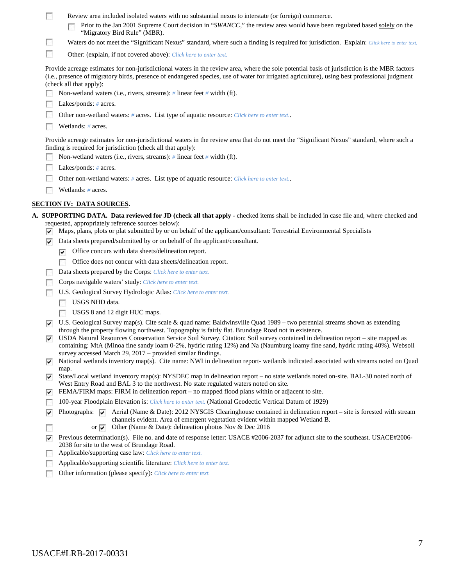| Review area included isolated waters with no substantial nexus to interstate (or foreign) commerce. |  |
|-----------------------------------------------------------------------------------------------------|--|
|-----------------------------------------------------------------------------------------------------|--|

| <b>F</b> Prior to the Jan 2001 Supreme Court decision in "SWANCC," the review area would have been regulated based solely on the |
|----------------------------------------------------------------------------------------------------------------------------------|
| "Migratory Bird Rule" (MBR).                                                                                                     |

 $\sim$ Waters do not meet the "Significant Nexus" standard, where such a finding is required for jurisdiction. Explain: *Click here to enter text.* 

 $\overline{a}$ Other: (explain, if not covered above): *Click here to enter text.*

Provide acreage estimates for non-jurisdictional waters in the review area, where the sole potential basis of jurisdiction is the MBR factors (i.e., presence of migratory birds, presence of endangered species, use of water for irrigated agriculture), using best professional judgment (check all that apply):

|  | Non-wetland waters (i.e., rivers, streams): $\#$ linear feet $\#$ width (ft). |  |  |  |  |  |
|--|-------------------------------------------------------------------------------|--|--|--|--|--|
|--|-------------------------------------------------------------------------------|--|--|--|--|--|

Lakes/ponds: # acres.

Г Other non-wetland waters: *#* acres. List type of aquatic resource: *Click here to enter text.*.

Wetlands: *#* acres.

Provide acreage estimates for non-jurisdictional waters in the review area that do not meet the "Significant Nexus" standard, where such a finding is required for jurisdiction (check all that apply):

- Non-wetland waters (i.e., rivers, streams): *#* linear feet *#* width (ft). 55
- $\sim$ Lakes/ponds: *#* acres.
	- Other non-wetland waters: *#* acres. List type of aquatic resource: *Click here to enter text.*.
- г Wetlands: *#* acres.

Г

# **SECTION IV: DATA SOURCES.**

- **A. SUPPORTING DATA. Data reviewed for JD (check all that apply -** checked items shall be included in case file and, where checked and requested, appropriately reference sources below):
	- $\triangledown$  Maps, plans, plots or plat submitted by or on behalf of the applicant/consultant: Terrestrial Environmental Specialists
	- $\nabla$  Data sheets prepared/submitted by or on behalf of the applicant/consultant.
		- $\triangledown$  Office concurs with data sheets/delineation report.
		- Office does not concur with data sheets/delineation report.
	- Data sheets prepared by the Corps: *Click here to enter text.*
	- Corps navigable waters' study: *Click here to enter text.*
	- $\sim$ U.S. Geological Survey Hydrologic Atlas: *Click here to enter text.*
		- USGS NHD data.
		- USGS 8 and 12 digit HUC maps.
	- $\triangledown$  U.S. Geological Survey map(s). Cite scale & quad name: Baldwinsville Quad 1989 two perennial streams shown as extending through the property flowing northwest. Topography is fairly flat. Brundage Road not in existence.
	- USDA Natural Resources Conservation Service Soil Survey. Citation: Soil survey contained in delineation report site mapped as containing: MtA (Minoa fine sandy loam 0-2%, hydric rating 12%) and Na (Naumburg loamy fine sand, hydric rating 40%). Websoil survey accessed March 29, 2017 – provided similar findings.
	- National wetlands inventory map(s). Cite name: NWI in delineation report- wetlands indicated associated with streams noted on Quad map.
	- State/Local wetland inventory map(s): NYSDEC map in delineation report no state wetlands noted on-site. BAL-30 noted north of West Entry Road and BAL 3 to the northwest. No state regulated waters noted on site.
	- **FEMA/FIRM** maps: FIRM in delineation report no mapped flood plans within or adjacent to site.
	- 100-year Floodplain Elevation is: *Click here to enter text.* (National Geodectic Vertical Datum of 1929) **1999**

Photographs:  $\boxed{\smash{\vee}}$  Aerial (Name & Date): 2012 NYSGIS Clearinghouse contained in delineation report – site is forested with stream ⊽ channels evident. Area of emergent vegetation evident within mapped Wetland B. Г

- or  $\vee$  Other (Name & Date): delineation photos Nov & Dec 2016
- Previous determination(s). File no. and date of response letter: USACE #2006-2037 for adjunct site to the southeast. USACE#2006- 2038 for site to the west of Brundage Road.
- Applicable/supporting case law: *Click here to enter text.*
- Applicable/supporting scientific literature: *Click here to enter text.*
- Other information (please specify): *Click here to enter text.*